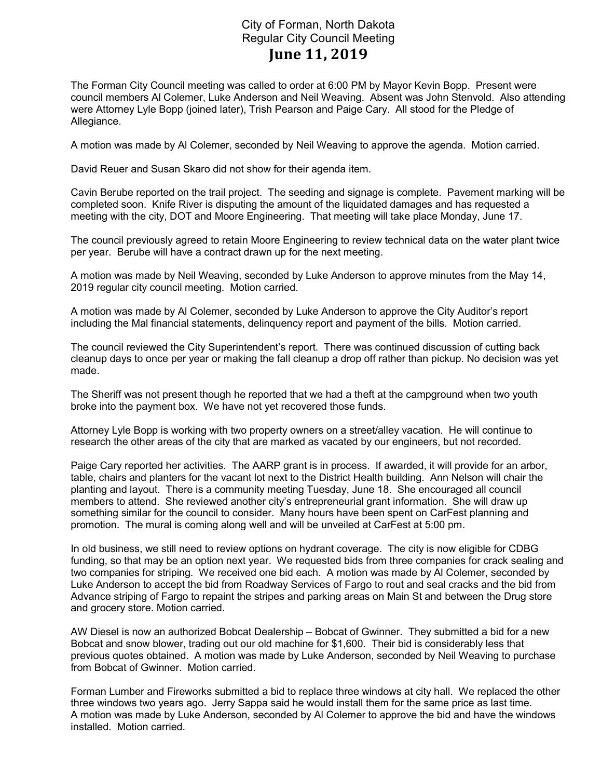## City of Forman, North Dakota Regular City Council Meeting June 11, 2019

The Forman City Council meeting was called to order at 6:00 PM by Mayor Kevin Bopp. Present were council members Al Colemer, Luke Anderson and Neil Weaving. Absent was John Stenvold. Also attending were Attorney Lyle Bopp (joined later), Trish Pearson and Paige Cary. All stood for the Pledge of Allegiance.

A motion was made by Al Colemer, seconded by Neil Weaving to approve the agenda. Motion carried.

David Reuer and Susan Skaro did not show for their agenda item.

Cavin Berube reported on the trail project. The seeding and signage is complete. Pavement marking will be completed soon. Knife River is disputing the amount of the liquidated damages and has requested a meeting with the city, DOT and Moore Engineering. That meeting will take place Monday, June 17.

The council previously agreed to retain Moore Engineering to review technical data on the water plant twice per year. Berube will have a contract drawn up for the next meeting.

A motion was made by Neil Weaving, seconded by Luke Anderson to approve minutes from the May 14, 2019 regular city council meeting. Motion carried.

A motion was made by Al Colemer, seconded by Luke Anderson to approve the City Auditor's report including the Mal financial statements, delinquency report and payment of the bills. Motion carried.

The council reviewed the City Superintendent's report. There was continued discussion of cutting back cleanup days to once per year or making the fall cleanup a drop off rather than pickup. No decision was yet made.

The Sheriff was not present though he reported that we had a theft at the campground when two youth broke into the payment box. We have not yet recovered those funds.

Attorney Lyle Bopp is working with two property owners on a street/alley vacation. He will continue to research the other areas of the city that are marked as vacated by our engineers, but not recorded.

Paige Cary reported her activities. The AARP grant is in process. If awarded, it will provide for an arbor, table, chairs and planters for the vacant lot next to the District Health building. Ann Nelson will chair the planting and layout. There is a community meeting Tuesday, June 18. She encouraged all council members to attend. She reviewed another city's entrepreneurial grant information. She will draw up something similar for the council to consider. Many hours have been spent on CarFest planning and promotion. The mural is coming along well and will be unveiled at CarFest at 5:00 pm.

In old business, we still need to review options on hydrant coverage. The city is now eligible for CDBG funding, so that may be an option next year. We requested bids from three companies for crack sealing and two companies for striping. We received one bid each. A motion was made by Al Colemer, seconded by Luke Anderson to accept the bid from Roadway Services of Fargo to rout and seal cracks and the bid from Advance striping of Fargo to repaint the stripes and parking areas on Main St and between the Drug store and grocery store. Motion carried.

AW Diesel is now an authorized Bobcat Dealership – Bobcat of Gwinner. They submitted a bid for a new Bobcat and snow blower, trading out our old machine for \$1,600. Their bid is considerably less that previous quotes obtained. A motion was made by Luke Anderson, seconded by Neil Weaving to purchase from Bobcat of Gwinner. Motion carried.

Forman Lumber and Fireworks submitted a bid to replace three windows at city hall. We replaced the other three windows two years ago. Jerry Sappa said he would install them for the same price as last time. A motion was made by Luke Anderson, seconded by Al Colemer to approve the bid and have the windows installed. Motion carried.